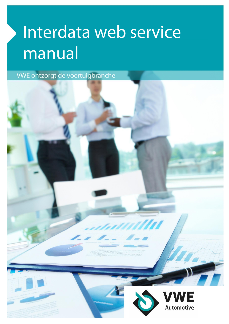# Interdata web service manual

VWE ontzorgt de voertuigbranche

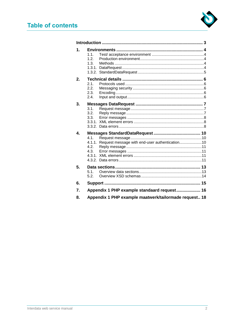

| 1.1.<br>1.2.<br>1.3.<br>2.1.<br>2.2.<br>2.3.<br>2.4.<br>3.1.<br>3.2.<br>3.3.<br>4.1<br>4.1.1. Request message with end-user authentication10<br>4.2.<br>4.3.<br>51<br>5.2.<br>Appendix 1 PHP example standaard request 16<br>Appendix 1 PHP example maatwerk/tailormade request 18 |
|------------------------------------------------------------------------------------------------------------------------------------------------------------------------------------------------------------------------------------------------------------------------------------|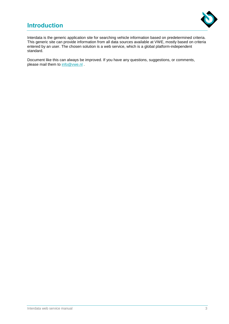# **Introduction**



Interdata is the generic application site for searching vehicle information based on predetermined criteria. This generic site can provide information from all data sources available at VWE, mostly based on criteria entered by an user. The chosen solution is a web service, which is a global platform-independent standard.

Document like this can always be improved. If you have any questions, suggestions, or comments, please mail them to [info@vwe.nl](mailto:info@vwe.nl).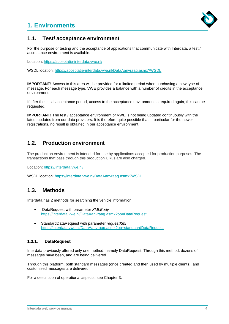# **1. Environments**



# **1.1. Test/ acceptance environment**

For the purpose of testing and the acceptance of applications that communicate with Interdata, a test / acceptance environment is available.

Location:<https://acceptatie-interdata.vwe.nl/>

WSDL location:<https://acceptatie-interdata.vwe.nl/DataAanvraag.asmx?WSDL>

**IMPORTANT!** Access to this area will be provided for a limited period when purchasing a new type of message. For each message type, VWE provides a balance with a number of credits in the acceptance environment.

If after the initial acceptance period, access to the acceptance environment is required again, this can be requested.

**IMPORTANT!** The test / acceptance environment of VWE is not being updated continuously with the latest updates from our data providers. It is therefore quite possible that in particular for the newer registrations, no result is obtained in our acceptance environment.

# **1.2. Production environment**

The production environment is intended for use by applications accepted for production purposes. The transactions that pass through this production URLs are also charged.

Location:<https://interdata.vwe.nl/>

WSDL location: <https://interdata.vwe.nl/DataAanvraag.asmx?WSDL>

## **1.3. Methods**

Interdata has 2 methods for searching the vehicle information:

- DataRequest with parameter *XMLBody*  <https://interdata.vwe.nl/DataAanvraag.asmx?op=DataRequest>
- StandardDataRequest with parameter *requestXml*  <https://interdata.vwe.nl/DataAanvraag.asmx?op=standaardDataRequest>

#### **1.3.1. DataRequest**

Interdata previously offered only one method, namely DataRequest. Through this method, dozens of messages have been, and are being delivered.

Through this platform, both standard messages (once created and then used by multiple clients), and customised messages are delivered.

For a description of operational aspects, see Chapter 3.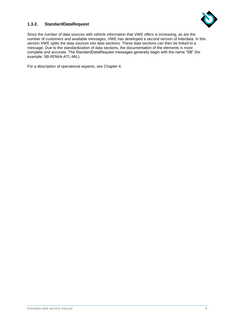

#### **1.3.2. StandardDataRequest**

Since the number of data sources with vehicle information that VWE offers is increasing, as are the number of customers and available messages, VWE has developed a second version of Interdata. In this version VWE splits the data sources into data sections. These data sections can then be linked to a message. Due to the standardization of data sections, the documentation of the elements is more complete and accurate. The StandardDataRequest messages generally begin with the name "SB" (for example: SB-RDWA-ATL-MIL).

For a description of operational aspects, see Chapter 4.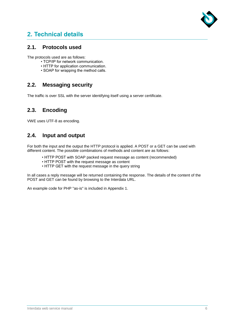

# **2. Technical details**

### **2.1. Protocols used**

The protocols used are as follows:

- TCP/IP for network communication.
- HTTP for application communication.
- SOAP for wrapping the method calls.

## **2.2. Messaging security**

The traffic is over SSL with the server identifying itself using a server certificate.

# **2.3. Encoding**

VWE uses UTF-8 as encoding.

## **2.4. Input and output**

For both the input and the output the HTTP protocol is applied. A POST or a GET can be used with different content. The possible combinations of methods and content are as follows:

- HTTP POST with SOAP packed request message as content (recommended)
- HTTP POST with the request message as content
- HTTP GET with the request message in the query string

In all cases a reply message will be returned containing the response. The details of the content of the POST and GET can be found by browsing to the Interdata URL.

An example code for PHP "as-is" is included in Appendix 1.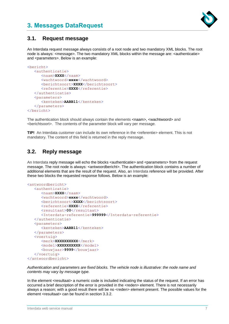# **3. Messages DataRequest**



## **3.1. Request message**

An Interdata request message always consists of a root node and two mandatory XML blocks. The root node is always: <message>. The two mandatory XML blocks within the message are: <authenticatie> and <parameters>. Below is an example:

```
<bericht>
   <authenticatie>
      <naam>XXXX</naam>
      <wachtwoord>xxxx</wachtwoord>
      <berichtsoort>XXXX</berichtsoort>
      <referentie>XXXX</referentie>
   </authenticatie>
   <parameters>
      <kenteken>AABB11</kenteken>
   </parameters>
</bericht>
```
The authentication block should always contain the elements <naam>, <wachtwoord> and <berichtsoort>. The contents of the parameter block will vary per message.

**TIP!** An Interdata customer can include its own reference in the <referentie> element. This is not mandatory. The content of this field is returned in the reply message.

# **3.2. Reply message**

An Interdata reply message will echo the blocks <authenticatie> and <parameters> from the request message. The root node is always: <antwoordbericht>. The authentication block contains a number of additional elements that are the result of the request. Also, an Interdata reference will be provided. After these two blocks the requested response follows. Below is an example:

```
<antwoordbericht>
   <authenticatie>
      <naam>XXXX</naam>
      <wachtwoord>xxxx</wachtwoord>
      <berichtsoort>XXXX</berichtsoort>
      <referentie>XXXX</referentie>
      <resultaat>00</resultaat>
      <Interdata-referentie>999999</Interdata-referentie>
   </authenticatie>
   <parameters>
      <kenteken>AABB11</kenteken>
   </parameters>
   <voertuig>
      <merk>XXXXXXXXXX</merk>
      <model>XXXXXXXXXX</model>
      <bouwjaar>9999</bouwjaar>
   </voertuig>
</antwoordbericht>
```
*Authentication and parameters are fixed blocks. The vehicle node is illustrative: the node name and contents may vary by message type.*

In the element <resultaat> a numeric code is included indicating the status of the request. If an error has occurred a brief description of the error is provided in the <reden> element. There is not necessarily always a reason; with a good result there will be no <reden> element present. The possible values for the element <resultaat> can be found in section 3.3.2.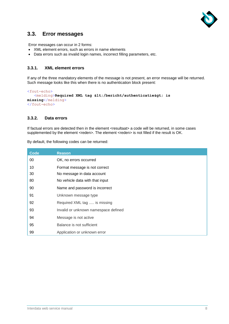

## **3.3. Error messages**

Error messages can occur in 2 forms:

- XML element errors, such as errors in name elements
- Data errors such as invalid login names, incorrect filling parameters, etc.

#### **3.3.1. XML element errors**

If any of the three mandatory elements of the message is not present, an error message will be returned. Such message looks like this when there is no authentication block present:

```
<fout-echo>
   <melding>Required XML tag </bericht/authenticatie&gt; is
missing</melding>
</fout-echo>
```
#### **3.3.2. Data errors**

If factual errors are detected then in the element <resultaat> a code will be returned, in some cases supplemented by the element <reden>. The element <reden> is not filled if the result is OK.

| <b>Code</b> | <b>Reason</b>                        |
|-------------|--------------------------------------|
| 00          | OK, no errors occurred               |
| 10          | Format message is not correct        |
| 30          | No message in data account           |
| 80          | No vehicle data with that input      |
| 90          | Name and password is incorrect       |
| 91          | Unknown message type                 |
| 92          | Required XML tag  is missing         |
| 93          | Invalid or unknown namespace defined |
| 94          | Message is not active                |
| 95          | Balance is not sufficient            |
| 99          | Application or unknown error         |

By default, the following codes can be returned: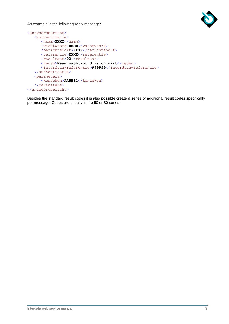

An example is the following reply message:

```
<antwoordbericht>
  <authenticatie>
     <naam>XXXX</naam>
     <wachtwoord>xxxx</wachtwoord>
     <br />
Example:<br />
XXXX</berichtsoort>
     <referentie>XXXX</referentie>
     <resultaat>90</resultaat>
      <reden>Naam wachtwoord is onjuist</reden>
      <Interdata-referentie>999999</Interdata-referentie>
  </authenticatie>
   <parameters>
      <kenteken>AABB11</kenteken>
   </parameters>
</antwoordbericht>
```
Besides the standard result codes it is also possible create a series of additional result codes specifically per message. Codes are usually in the 50 or 80 series.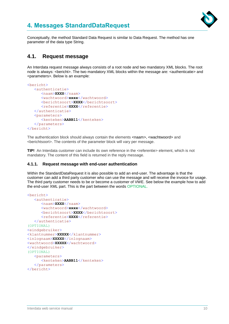

# **4. Messages StandardDataRequest**

Conceptually, the method Standard Data Request is similar to Data Request. The method has one parameter of the data type String.

## **4.1. Request message**

An Interdata request message always consists of a root node and two mandatory XML blocks. The root node is always: <br/>bericht>. The two mandatory XML blocks within the message are: <authenticatie> and <parameters>. Below is an example:

```
<bericht>
   <authenticatie>
      <naam>XXXX</naam>
      <wachtwoord>xxxx</wachtwoord>
      <berichtsoort>XXXX</berichtsoort>
      <referentie>XXXX</referentie>
   </authenticatie>
   <parameters>
      <kenteken>AABB11</kenteken>
   </parameters>
</bericht>
```
The authentication block should always contain the elements <naam>, <wachtwoord> and <berichtsoort>. The contents of the parameter block will vary per message.

**TIP!** An Interdata customer can include its own reference in the <referentie> element, which is not mandatory. The content of this field is returned in the reply message.

#### **4.1.1. Request message with end-user authentication**

Within the StandardDataRequest it is also possible to add an end-user. The advantage is that the customer can add a third party customer who can use the message and will receive the invoice for usage. The third party customer needs to be or become a customer of VWE. See below the example how to add the end-user XML part. This is the part between the words OPTIONAL.

```
<bericht>
   <authenticatie>
      <naam>XXXX</naam>
      <wachtwoord>xxxx</wachtwoord>
      <br />
Example:<br />
XXXX</berichtsoort>
      <referentie>XXXX</referentie>
   </authenticatie>
(OPTIONAL)
<eindgebruiker>
<klantnummer>XXXXX</klantnummer>
<inlognaam>XXXXX</inlognaam>
<wachtwoord>XXXXX</wachtwoord>
</eindgebruiker>
(OPTIONAL)
   <parameters>
      <kenteken>AABB11</kenteken>
   </parameters>
</bericht>
```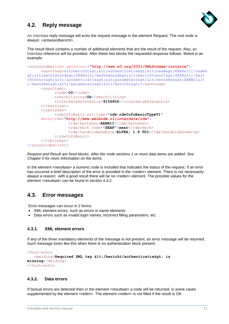

# **4.2. Reply message**

An Interdata reply message will echo the request message in the element Request. The root node is always: <antwoordbericht>.

The result block contains a number of additional elements that are the result of the request. Also, an Interdata reference will be provided. After these two blocks the requested response follows. Below is an example:

```
<antwoordbericht xmlns:xsi="http://www.w3.org/2001/XMLSchema-instance">
      <aanvraag>&lt;bericht&gt;&lt;authenticatie&gt;&lt;naam&gt;XXXX&lt;/naam&
gt; < wachtwoord&gt; XXXX&lt; /wachtwoord&gt; &lt; berichtsoort&gt; XXXX&lt; /beri
chtsoort&qt;</authenticatie&qt;&lt;parameters&qt;&lt;kenteken&qt;AABB11&lt
;/kenteken&qt;</parameters&qt;&lt;/bericht&qt;</aanvraaq>
      <resultaat>
            <code>00</code>
            <omschrijving>Ok</omschrijving>
            <interdataReferentie>9156856</interdataReferentie>
      </resultaat>
      <rubrieken>
            <rdwInfoBasic xsi:type="rdw:rdwInfoBasicTypeV1"
      xmlns:rdw="http://www.xmlmode.nl/interdata/rdw">
                  <rdw:kenteken>AABB11</rdw:kenteken>
                  <rdw:merk code="SEAP">seat</rdw:merk>
                  <rdw:handelsbenaming>ALTEA; 1.9 TDI</rdw:handelsbenaming>
            \langle/rdwInfoBasic>
      </rubrieken>
</antwoordbericht>
```
*Request and Result are fixed blocks. After the node sections 1 or more data items are added. See Chapter 5 for more information on the items.*

In the element <resultaat> a numeric code is included that indicates the status of the request. If an error has occurred a brief description of the error is provided in the <reden> element. There is not necessarily always a reason; with a good result there will be no <reden> element. The possible values for the element <resultaat> can be found in section 4.4.2.

## **4.3. Error messages**

Error messages can occur in 2 forms:

- XML element errors, such as errors in name elements
- Data errors such as invalid login names, incorrect filling parameters, etc.

#### **4.3.1. XML element errors**

If any of the three mandatory elements of the message is not present, an error message will be returned. Such message looks like this when there is no authentication block present:

```
<fout-echo>
   <melding>Required XML tag &lt;/bericht/authenticatie&gt; is
missing</melding>
</fout-echo>
```
#### **4.3.2. Data errors**

If factual errors are detected then in the element <resultaat> a code will be returned, in some cases supplemented by the element <reden>. The element <reden> is not filled if the result is OK.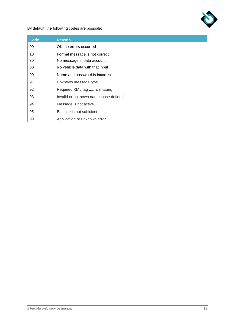

By default, the following codes are possible:

| <b>Code</b> | <b>Reason</b>                        |
|-------------|--------------------------------------|
| 00          | OK, no errors occurred               |
| 10          | Format message is not correct        |
| 30          | No message in data account           |
| 80          | No vehicle data with that input      |
| 90          | Name and password is incorrect       |
| 91          | Unknown message type                 |
| 92          | Required XML tag  is missing         |
| 93          | Invalid or unknown namespace defined |
| 94          | Message is not active                |
| 95          | Balance is not sufficient            |
| 99          | Application or unknown error         |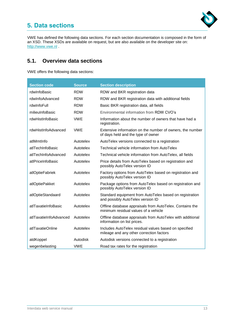# **5. Data sections**



VWE has defined the following data sections. For each section documentation is composed in the form of an XSD. These XSDs are available on request, but are also available on the developer site on: [http://www.vwe.nl](http://www.vwe.nl/) .

# **5.1. Overview data sections**

VWE offers the following data sections:

| <b>Section code</b>    | <b>Source</b> | <b>Section description</b>                                                                        |
|------------------------|---------------|---------------------------------------------------------------------------------------------------|
| rdwInfoBasic           | <b>RDW</b>    | RDW and BKR registration data                                                                     |
| rdwInfoAdvanced        | <b>RDW</b>    | RDW and BKR registration data with additional fields                                              |
| rdwInfoFull            | <b>RDW</b>    | Basic BKR registration data, all fields                                                           |
| milieuInfoBasic        | <b>RDW</b>    | Environmental information from RDW CVO's                                                          |
| rdwHistInfoBasic       | <b>VWE</b>    | Information about the number of owners that have had a<br>registration.                           |
| rdwHistInfoAdvanced    | <b>VWE</b>    | Extensive information on the number of owners, the number<br>of days held and the type of owner   |
| atlMmtInfo             | Autotelex     | AutoTelex versions connected to a registration                                                    |
| atlTechInfoBasic       | Autotelex     | Technical vehicle information from AutoTelex                                                      |
| atlTechInfoAdvanced    | Autotelex     | Technical vehicle information from AutoTelex, all fields                                          |
| atlPriceInfoBasic      | Autotelex     | Price details from AutoTelex based on registration and<br>possibly AutoTelex version ID           |
| atlOptieFabriek        | Autotelex     | Factory options from AutoTelex based on registration and<br>possibly AutoTelex version ID         |
| atlOptiePakket         | Autotelex     | Package options from AutoTelex based on registration and<br>possibly AutoTelex version ID         |
| atlOptieStandaard      | Autotelex     | Standard equipment from AutoTelex based on registration<br>and possibly AutoTelex version ID      |
| atlTaxatieInfoBasic    | Autotelex     | Offline database appraisals from AutoTelex. Contains the<br>minimum residual values of a vehicle  |
| atlTaxatieInfoAdvanced | Autotelex     | Offline database appraisals from AutoTelex with additional<br>information on list prices.         |
| atlTaxatieOnline       | Autotelex     | Includes AutoTelex residual values based on specified<br>mileage and any other correction factors |
| atdKoppel              | Autodisk      | Autodisk versions connected to a registration                                                     |
| wegenbelasting         | <b>VWE</b>    | Road tax rates for the registration                                                               |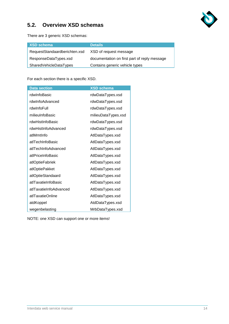

# **5.2. Overview XSD schemas**

There are 3 generic XSD schemas:

| XSD schema                    | <b>Details</b>                               |
|-------------------------------|----------------------------------------------|
| RequestStandaardberichten.xsd | XSD of request message                       |
| ResponseDataTypes.xsd         | documentation on first part of reply message |
| SharedVehicleDataTypes        | Contains generic vehicle types               |

For each section there is a specific XSD.

| <b>Data section</b>    | <b>XSD schema</b>   |
|------------------------|---------------------|
| rdwInfoBasic           | rdwDataTypes.xsd    |
| rdwInfoAdvanced        | rdwDataTypes.xsd    |
| rdwInfoFull            | rdwDataTypes.xsd    |
| milieuInfoBasic        | milieuDataTypes.xsd |
| rdwHistInfoBasic       | rdwDataTypes.xsd    |
| rdwHistInfoAdvanced    | rdwDataTypes.xsd    |
| atlMmtInfo             | AtlDataTypes.xsd    |
| atlTechInfoBasic       | AtlDataTypes.xsd    |
| atlTechInfoAdvanced    | AtlDataTypes.xsd    |
| atlPriceInfoBasic      | AtlDataTypes.xsd    |
| atlOptieFabriek        | AtlDataTypes.xsd    |
| atlOptiePakket         | AtlDataTypes.xsd    |
| atlOptieStandaard      | AtlDataTypes.xsd    |
| atlTaxatieInfoBasic    | AtlDataTypes.xsd    |
| atlTaxatieInfoAdvanced | AtlDataTypes.xsd    |
| atlTaxatieOnline       | AtlDataTypes.xsd    |
| atdKoppel              | AtdDataTypes.xsd    |
| wegenbelasting         | MrbDataTypes.xsd    |

NOTE: one XSD can support one or more items!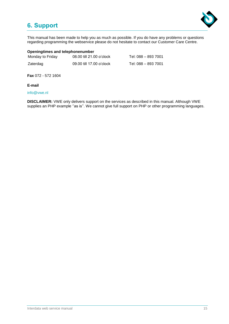# **6. Support**



This manual has been made to help you as much as possible. If you do have any problems or questions regarding programming the webservice please do not hesitate to contact our Customer Care Centre.

#### **Openingtimes and telephonenumber**

| Monday to Friday | 08.00 till 21.00 o'clock | Tel: 088 – 893 7001 |
|------------------|--------------------------|---------------------|
| Zaterdag         | 09.00 till 17.00 o'clock | Tel: 088 – 893 7001 |

**Fax** 072 - 572 1604

**E-mail**

[info@vwe.nl](mailto:info@vwe.nl)

**DISCLAIMER:** VWE only delivers support on the services as described in this manual. Although VWE supplies an PHP example "as is". We cannot give full support on PHP or other programming languages.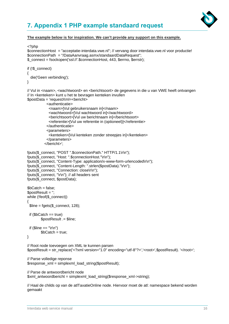

# **7. Appendix 1 PHP example standaard request**

#### **The example below is for inspiration. We can't provide any support on this example.**

```
<?php
$connectionHost = "acceptatie-interdata.vwe.nl"; // vervang door interdata.vwe.nl voor productie!
$connectionPath = "/DataAanvraag.asmx/standaardDataRequest"; 
$_connect = fsockopen('ssl://'.$connectionHost, 443, $errno, $errstr);
if (!$_connect)
{
   die('Geen verbinding');
}
// Vul in <naam>, <wachtwoord> en <br />berichtsoort> de gegevens in die u van VWE heeft ontvangen
// In <kenteken> kunt u het te bevragen kenteken invullen
$postData = 'requestXml=<bericht>
            <authenticatie>
              <naam>[Vul gebruikersnaam in]</naam> 
              <wachtwoord>[Vul wachtwoord in]</wachtwoord> 
              <berichtsoort>[Vul uw berichtnaam in]</berichtsoort> 
              <referentie>[Vul uw referentie in (optioneel)]</referentie> 
            </authenticatie>
            <parameters>
              <kenteken>[Vul kenteken zonder streepjes in]</kenteken> 
            </parameters>
           </bericht>';
fputs($_connect, "POST ".$connectionPath." HTTP/1.1\r\n");
fputs($_connect, "Host: ".$connectionHost."\r\n");
fputs($ connect, "Content-Type: application/x-www-form-urlencoded\r\n");
fputs($_connect, "Content-Length: ".strlen($postData)."\r\n");
fputs($_connect, "Connection: close\r\n");
fputs($_connect, "\r\n"); // all headers sent
fputs($_connect, $postData);
$bCatch = false;
$postResult = '';
while (!feof($_connect))
{ 
  $line = fgets($_connect, 128);
 if $bCatch == true)
        $postResult .= $line;
 if (\text{Since} == \text{"r\nu"})
        $bCatch = true;
}
// Root node toevoegen om XML te kunnen parsen
$postResult = str_replace('<?xml version="1.0" encoding="utf-8"?>','<root>',$postResult). '</root>';
// Parse volledige reponse
$response xm = simplexml load string($postResult);
// Parse de antwoordbericht node
```
\$xml\_antwoordbericht = simplexml\_load\_string(\$response\_xml->string);

// Haal de childs op van de atlTaxatieOnline node. Hiervoor moet de atl: namespace bekend worden gemaakt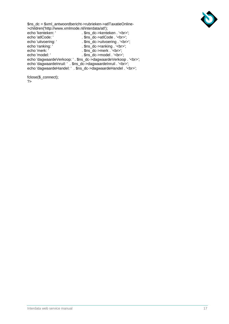

\$ns\_dc = \$xml\_antwoordbericht->rubrieken->atlTaxatieOnline- >children('http://www.xmlmode.nl/interdata/atl'); echo 'kenteken: '<br>echo 'atlCode: '<br>echo 'atlCode: '<br>. \$ns\_dc->atlCode . '<br/>>br>';

echo 'atlCode: '<br>echo 'uitvoering: ' . \$ns\_dc->atlCode . '<br/>cho 'uitvoering: ' . \$ns dc->uitvoering . '<br/>cho . \$ns\_dc->uitvoering . '<br>'; echo 'ranking: ' .  $s$ ns\_dc->ranking . '<br>'; echo 'merk: '<br>echo 'medel: '<br>echo 'model: '<br>echo 'model: '<br>and of the sum of the sum of the sum of the sum of the sum of the sum of the sum of the sum of the sum of the sum of the sum of the sum of the sum of the sum of th . \$ns\_dc->model . '<br>'; echo 'dagwaardeVerkoop: ' . \$ns\_dc->dagwaardeVerkoop . '<br>'; echo 'dagwaardeInruil: ' . \$ns\_dc->dagwaardeInruil . '<br>'; echo 'dagwaardeHandel: ' . \$ns\_dc->dagwaardeHandel . '<br>';

fclose(\$\_connect); ?>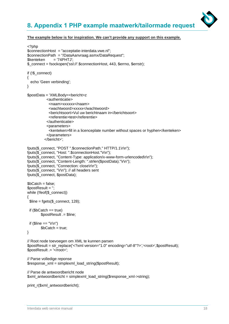# **8. Appendix 1 PHP example maatwerk/tailormade request**



#### **The example below is for inspiration. We can't provide any support on this example.**

```
<?php
$connectionHost = "acceptatie-interdata.vwe.nl";
$connectionPath = "/DataAanvraag.asmx/DataRequest"; 
$kenteken = '74PHTJ';
$_connect = fsockopen('ssl://'.$connectionHost, 443, $errno, $errstr);
if (!$_connect)
{
   echo 'Geen verbinding';
}
$postData = 'XMLBody=<bericht>z
            <authenticatie>
              <naam>xxxxxx</naam> 
              <wachtwoord>xxxxx</wachtwoord> 
              <berichtsoort>Vul uw berichtnaam in</berichtsoort> 
              <referentie>test</referentie> 
             </authenticatie>
             <parameters>
              <kenteken>fill in a licenceplate number without spaces or hyphen</kenteken> 
             </parameters>
           </bericht>';
fputs($_connect, "POST ".$connectionPath." HTTP/1.1\r\n");
fputs($_connect, "Host: ".$connectionHost."\r\n");
fputs($_connect, "Content-Type: application/x-www-form-urlencoded\r\n");
fputs($_connect, "Content-Length: ".strlen($postData)."\r\n");
fputs($_connect, "Connection: close\r\n");
fputs($_connect, "\r\n"); // all headers sent
fputs($_connect, $postData);
$bCatch = false:
$postResult = '';
while (!feof($_connect))
{ 
 \text{Since} = \text{facts}(\text{$\mathbb{S}$ \text{ connect, } 128).}if $bCatch == true)
        $postResult .= $line;
 if (\text{Since} == \text{"\r\n}$bCatch = true:
}
// Root node toevoegen om XML te kunnen parsen
$postResult = str_replace('<?xml version="1.0" encoding="utf-8"?>','<root>',$postResult);
$postResult .= '</root>';
// Parse volledige reponse
$response xml = simplexml load string($postResult);
// Parse de antwoordbericht node
$xml_antwoordbericht = simplexml_load_string($response_xml->string);
```

```
print_r($xml_antwoordbericht);
```